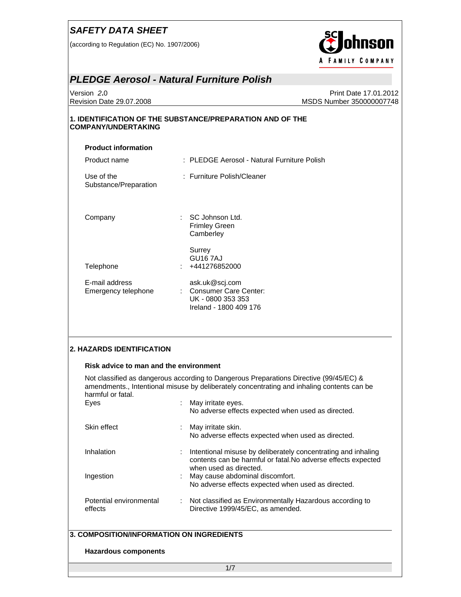(according to Regulation (EC) No. 1907/2006)



#### *PLEDGE Aerosol - Natural Furniture Polish*

Version *2***.**0 Print Date 17.01.2012 Revision Date 29.07.2008 MSDS Number 350000007748

#### **1. IDENTIFICATION OF THE SUBSTANCE/PREPARATION AND OF THE COMPANY/UNDERTAKING**

| <b>Product information</b>            |                                                                                          |
|---------------------------------------|------------------------------------------------------------------------------------------|
| Product name                          | : PLEDGE Aerosol - Natural Furniture Polish                                              |
| Use of the<br>Substance/Preparation   | : Furniture Polish/Cleaner                                                               |
| Company                               | $\therefore$ SC Johnson Ltd.<br><b>Frimley Green</b><br>Camberley                        |
| Telephone                             | Surrey<br>GU <sub>16</sub> 7AJ<br>$: +441276852000$                                      |
| E-mail address<br>Emergency telephone | ask.uk@scj.com<br>: Consumer Care Center:<br>UK - 0800 353 353<br>Ireland - 1800 409 176 |
|                                       |                                                                                          |

#### **2. HAZARDS IDENTIFICATION**

#### **Risk advice to man and the environment**

Not classified as dangerous according to Dangerous Preparations Directive (99/45/EC) & amendments., Intentional misuse by deliberately concentrating and inhaling contents can be harmful or fatal.

| Eyes                               | : May irritate eyes.<br>No adverse effects expected when used as directed.                                                                                 |
|------------------------------------|------------------------------------------------------------------------------------------------------------------------------------------------------------|
| Skin effect                        | : May irritate skin.<br>No adverse effects expected when used as directed.                                                                                 |
| Inhalation                         | : Intentional misuse by deliberately concentrating and inhaling<br>contents can be harmful or fatal. No adverse effects expected<br>when used as directed. |
| Ingestion                          | : May cause abdominal discomfort.<br>No adverse effects expected when used as directed.                                                                    |
| Potential environmental<br>effects | : Not classified as Environmentally Hazardous according to<br>Directive 1999/45/EC, as amended.                                                            |

#### **3. COMPOSITION/INFORMATION ON INGREDIENTS**

#### **Hazardous components**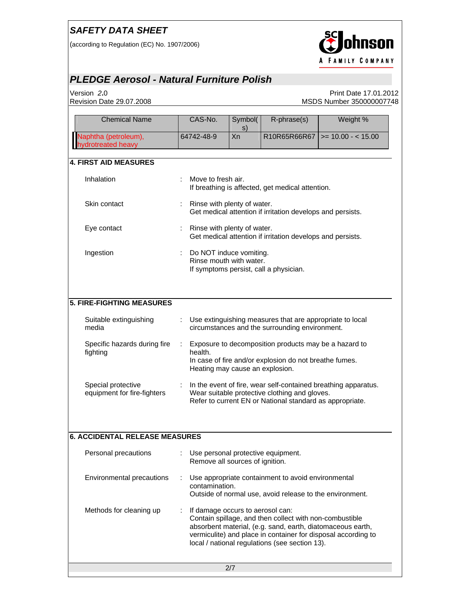(according to Regulation (EC) No. 1907/2006)



# *PLEDGE Aerosol - Natural Furniture Polish*

Version *2***.**0 Print Date 17.01.2012 Revision Date 29.07.2008 MSDS Number 35000007748

| <b>Chemical Name</b>                              | CAS-No.                                            | Symbol(<br>s) | R-phrase(s)                                                                                                                                                             | Weight %                                                       |
|---------------------------------------------------|----------------------------------------------------|---------------|-------------------------------------------------------------------------------------------------------------------------------------------------------------------------|----------------------------------------------------------------|
| Naphtha (petroleum),<br>ydrotreated heavy         | 64742-48-9                                         | Xn            | R10R65R66R67                                                                                                                                                            | $>= 10.00 - < 15.00$                                           |
| 4. FIRST AID MEASURES                             |                                                    |               |                                                                                                                                                                         |                                                                |
| Inhalation                                        | Move to fresh air.                                 |               | If breathing is affected, get medical attention.                                                                                                                        |                                                                |
| Skin contact                                      | Rinse with plenty of water.<br>÷.                  |               | Get medical attention if irritation develops and persists.                                                                                                              |                                                                |
| Eye contact                                       | Rinse with plenty of water.                        |               | Get medical attention if irritation develops and persists.                                                                                                              |                                                                |
| Ingestion                                         | Do NOT induce vomiting.<br>Rinse mouth with water. |               | If symptoms persist, call a physician.                                                                                                                                  |                                                                |
| 5. FIRE-FIGHTING MEASURES                         |                                                    |               |                                                                                                                                                                         |                                                                |
| Suitable extinguishing<br>media                   |                                                    |               | Use extinguishing measures that are appropriate to local<br>circumstances and the surrounding environment.                                                              |                                                                |
| Specific hazards during fire<br>fighting          | health.<br>Heating may cause an explosion.         |               | Exposure to decomposition products may be a hazard to<br>In case of fire and/or explosion do not breathe fumes.                                                         |                                                                |
| Special protective<br>equipment for fire-fighters |                                                    |               | Wear suitable protective clothing and gloves.<br>Refer to current EN or National standard as appropriate.                                                               | In the event of fire, wear self-contained breathing apparatus. |
| <b>6. ACCIDENTAL RELEASE MEASURES</b>             |                                                    |               |                                                                                                                                                                         |                                                                |
| Personal precautions                              | Remove all sources of ignition.                    |               | Use personal protective equipment.                                                                                                                                      |                                                                |
| Environmental precautions                         | contamination.                                     |               | Use appropriate containment to avoid environmental<br>Outside of normal use, avoid release to the environment.                                                          |                                                                |
| Methods for cleaning up                           | If damage occurs to aerosol can:                   |               | Contain spillage, and then collect with non-combustible<br>absorbent material, (e.g. sand, earth, diatomaceous earth,<br>local / national regulations (see section 13). | vermiculite) and place in container for disposal according to  |
|                                                   |                                                    | 2/7           |                                                                                                                                                                         |                                                                |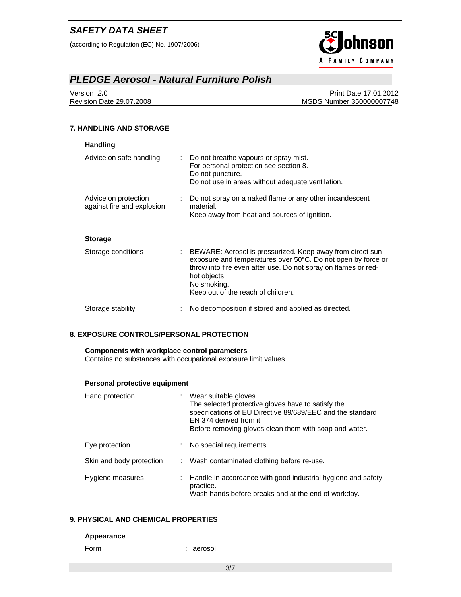(according to Regulation (EC) No. 1907/2006)



# *PLEDGE Aerosol - Natural Furniture Polish*

Version *2***.**0 Print Date 17.01.2012 Revision Date 29.07.2008 MSDS Number 350000007748

| <b>Handling</b>                                                                                               |                                                                                                                                                                                                                                                                    |
|---------------------------------------------------------------------------------------------------------------|--------------------------------------------------------------------------------------------------------------------------------------------------------------------------------------------------------------------------------------------------------------------|
| Advice on safe handling                                                                                       | Do not breathe vapours or spray mist.<br>$\mathcal{L}$<br>For personal protection see section 8.<br>Do not puncture.<br>Do not use in areas without adequate ventilation.                                                                                          |
| Advice on protection<br>against fire and explosion                                                            | Do not spray on a naked flame or any other incandescent<br>÷<br>material.<br>Keep away from heat and sources of ignition.                                                                                                                                          |
| <b>Storage</b>                                                                                                |                                                                                                                                                                                                                                                                    |
| Storage conditions                                                                                            | : BEWARE: Aerosol is pressurized. Keep away from direct sun<br>exposure and temperatures over 50°C. Do not open by force or<br>throw into fire even after use. Do not spray on flames or red-<br>hot objects.<br>No smoking.<br>Keep out of the reach of children. |
|                                                                                                               |                                                                                                                                                                                                                                                                    |
| Storage stability<br>8. EXPOSURE CONTROLS/PERSONAL PROTECTION<br>Components with workplace control parameters | No decomposition if stored and applied as directed.<br>÷<br>Contains no substances with occupational exposure limit values.                                                                                                                                        |
|                                                                                                               |                                                                                                                                                                                                                                                                    |
| Personal protective equipment<br>Hand protection                                                              | Wear suitable gloves.<br>The selected protective gloves have to satisfy the<br>specifications of EU Directive 89/689/EEC and the standard<br>EN 374 derived from it.<br>Before removing gloves clean them with soap and water.                                     |
| Eye protection                                                                                                | No special requirements.                                                                                                                                                                                                                                           |
| Skin and body protection                                                                                      | Wash contaminated clothing before re-use.                                                                                                                                                                                                                          |
| Hygiene measures                                                                                              | practice.<br>Wash hands before breaks and at the end of workday.                                                                                                                                                                                                   |
| 9. PHYSICAL AND CHEMICAL PROPERTIES                                                                           |                                                                                                                                                                                                                                                                    |
| Appearance                                                                                                    | Handle in accordance with good industrial hygiene and safety                                                                                                                                                                                                       |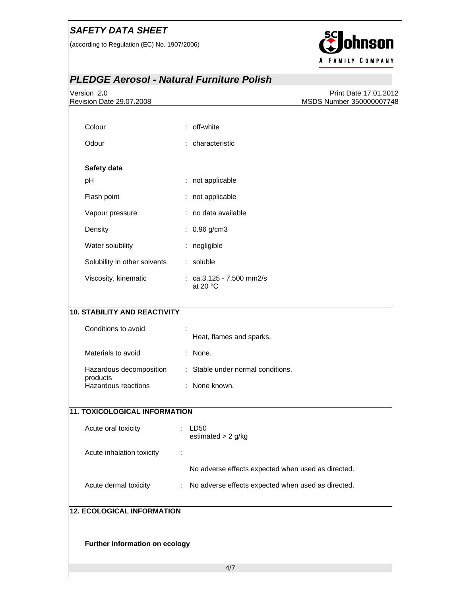(according to Regulation (EC) No. 1907/2006)



# *PLEDGE Aerosol - Natural Furniture Polish*

| Version 2.0<br>Revision Date 29.07.2008 | Print Date 17.01.2012<br>MSDS Number 350000007748       |  |  |  |
|-----------------------------------------|---------------------------------------------------------|--|--|--|
|                                         |                                                         |  |  |  |
| Colour                                  | : off-white                                             |  |  |  |
| Odour                                   | : characteristic                                        |  |  |  |
|                                         |                                                         |  |  |  |
| Safety data                             |                                                         |  |  |  |
| pH                                      | : not applicable                                        |  |  |  |
| Flash point                             | : not applicable                                        |  |  |  |
| Vapour pressure                         | : no data available                                     |  |  |  |
| Density                                 | $: 0.96$ g/cm3                                          |  |  |  |
| Water solubility                        | : negligible                                            |  |  |  |
| Solubility in other solvents            | : soluble                                               |  |  |  |
| Viscosity, kinematic                    | : $ca.3,125 - 7,500$ mm2/s<br>at 20 °C                  |  |  |  |
| <b>10. STABILITY AND REACTIVITY</b>     |                                                         |  |  |  |
| Conditions to avoid                     | Heat, flames and sparks.                                |  |  |  |
| Materials to avoid                      | : None.                                                 |  |  |  |
| Hazardous decomposition                 | : Stable under normal conditions.                       |  |  |  |
| products<br>Hazardous reactions         | : None known.                                           |  |  |  |
| <b>11. TOXICOLOGICAL INFORMATION</b>    |                                                         |  |  |  |
| Acute oral toxicity                     | LD50<br>estimated $> 2$ g/kg                            |  |  |  |
| Acute inhalation toxicity               |                                                         |  |  |  |
|                                         | No adverse effects expected when used as directed.      |  |  |  |
| Acute dermal toxicity                   | No adverse effects expected when used as directed.<br>÷ |  |  |  |
|                                         |                                                         |  |  |  |
| <b>12. ECOLOGICAL INFORMATION</b>       |                                                         |  |  |  |
|                                         |                                                         |  |  |  |
| Further information on ecology          |                                                         |  |  |  |
| 4/7                                     |                                                         |  |  |  |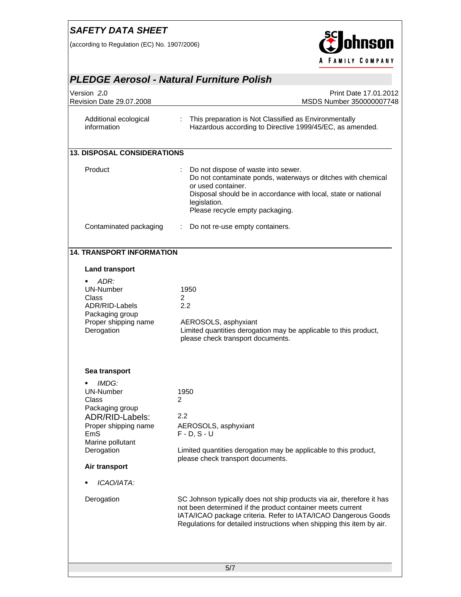(according to Regulation (EC) No. 1907/2006)



#### *PLEDGE Aerosol - Natural Furniture Polish*  Version *2***.**0 Print Date 17.01.2012 Revision Date 29.07.2008 MSDS Number 350000007748 Additional ecological information : This preparation is Not Classified as Environmentally Hazardous according to Directive 1999/45/EC, as amended. **13. DISPOSAL CONSIDERATIONS**  Product : Do not dispose of waste into sewer. Do not contaminate ponds, waterways or ditches with chemical or used container. Disposal should be in accordance with local, state or national legislation. Please recycle empty packaging. Contaminated packaging : Do not re-use empty containers. **14. TRANSPORT INFORMATION Land transport**  *ADR:*  UN-Number 1950 Class 2 ADR/RID-Labels 2.2 Packaging group Proper shipping name AEROSOLS, asphyxiant Derogation **Limited quantities derogation may be applicable to this product,** please check transport documents. **Sea transport**  *IMDG:* UN-Number 1950 Class 2 Packaging group ADR/RID-Labels: 2.2 Proper shipping name AEROSOLS, asphyxiant EmS F - D, S - U Marine pollutant Derogation Limited quantities derogation may be applicable to this product, please check transport documents. **Air transport**  *ICAO/IATA:*  Derogation SC Johnson typically does not ship products via air, therefore it has not been determined if the product container meets current IATA/ICAO package criteria. Refer to IATA/ICAO Dangerous Goods Regulations for detailed instructions when shipping this item by air.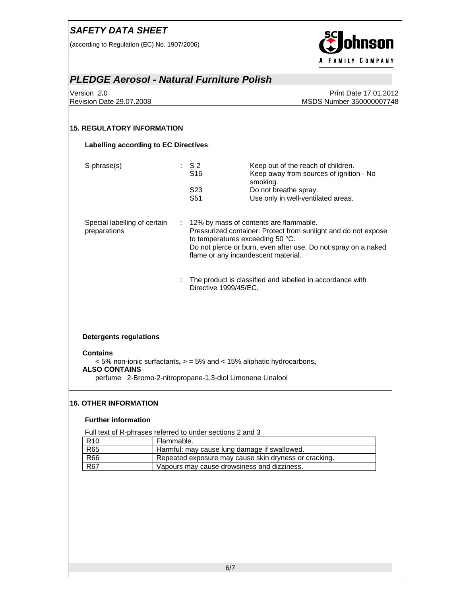(according to Regulation (EC) No. 1907/2006)



#### *PLEDGE Aerosol - Natural Furniture Polish*

Version *2***.**0 Print Date 17.01.2012 Revision Date 29.07.2008 MSDS Number 350000007748

| S-phrase(s)                                  | $:$ S2<br>S <sub>16</sub> | Keep out of the reach of children.<br>Keep away from sources of ignition - No<br>smoking.                                                                                                                        |
|----------------------------------------------|---------------------------|------------------------------------------------------------------------------------------------------------------------------------------------------------------------------------------------------------------|
|                                              | S23<br>S51                | Do not breathe spray.<br>Use only in well-ventilated areas.                                                                                                                                                      |
|                                              |                           |                                                                                                                                                                                                                  |
| Special labelling of certain<br>preparations |                           | : 12% by mass of contents are flammable.<br>Pressurized container. Protect from sunlight and do not expose<br>to temperatures exceeding 50 °C.<br>Do not pierce or burn, even after use. Do not spray on a naked |
|                                              |                           | flame or any incandescent material.                                                                                                                                                                              |
|                                              | Directive 1999/45/EC.     | The product is classified and labelled in accordance with                                                                                                                                                        |
|                                              |                           |                                                                                                                                                                                                                  |
|                                              |                           |                                                                                                                                                                                                                  |
| <b>Detergents regulations</b>                |                           |                                                                                                                                                                                                                  |
|                                              |                           |                                                                                                                                                                                                                  |

#### **16. OTHER INFORMATION**

#### **Further information**

Full text of R-phrases referred to under sections 2 and 3

| R <sub>10</sub> | Flammable.                                            |
|-----------------|-------------------------------------------------------|
| <b>R65</b>      | Harmful: may cause lung damage if swallowed.          |
| <b>R66</b>      | Repeated exposure may cause skin dryness or cracking. |
| <b>R67</b>      | Vapours may cause drowsiness and dizziness.           |